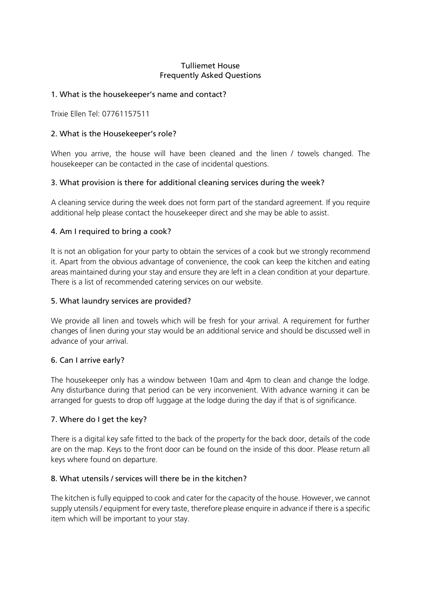#### Tulliemet House Frequently Asked Questions

### 1. What is the housekeeper's name and contact?

Trixie Ellen Tel: 07761157511

### 2. What is the Housekeeper's role?

When you arrive, the house will have been cleaned and the linen / towels changed. The housekeeper can be contacted in the case of incidental questions.

## 3. What provision is there for additional cleaning services during the week?

A cleaning service during the week does not form part of the standard agreement. If you require additional help please contact the housekeeper direct and she may be able to assist.

#### 4. Am I required to bring a cook?

It is not an obligation for your party to obtain the services of a cook but we strongly recommend it. Apart from the obvious advantage of convenience, the cook can keep the kitchen and eating areas maintained during your stay and ensure they are left in a clean condition at your departure. There is a list of recommended catering services on our website.

#### 5. What laundry services are provided?

We provide all linen and towels which will be fresh for your arrival. A requirement for further changes of linen during your stay would be an additional service and should be discussed well in advance of your arrival.

#### 6. Can I arrive early?

The housekeeper only has a window between 10am and 4pm to clean and change the lodge. Any disturbance during that period can be very inconvenient. With advance warning it can be arranged for guests to drop off luggage at the lodge during the day if that is of significance.

#### 7. Where do I get the key?

There is a digital key safe fitted to the back of the property for the back door, details of the code are on the map. Keys to the front door can be found on the inside of this door. Please return all keys where found on departure.

### 8. What utensils / services will there be in the kitchen?

The kitchen is fully equipped to cook and cater for the capacity of the house. However, we cannot supply utensils / equipment for every taste, therefore please enquire in advance if there is a specific item which will be important to your stay.